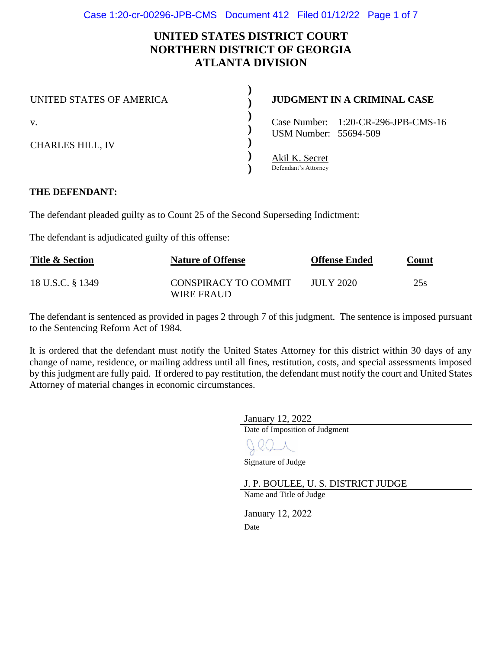# **UNITED STATES DISTRICT COURT NORTHERN DISTRICT OF GEORGIA ATLANTA DIVISION**

**)**

| UNITED STATES OF AMERICA      | <b>JUDGMENT IN A CRIMINAL CASE</b>                           |  |
|-------------------------------|--------------------------------------------------------------|--|
| V.<br><b>CHARLES HILL, IV</b> | Case Number: 1:20-CR-296-JPB-CMS-16<br>USM Number: 55694-509 |  |
|                               | Akil K. Secret<br>Defendant's Attorney                       |  |

## **THE DEFENDANT:**

The defendant pleaded guilty as to Count 25 of the Second Superseding Indictment:

The defendant is adjudicated guilty of this offense:

| <b>Title &amp; Section</b> | <b>Nature of Offense</b>           | <b>Offense Ended</b> | <u>Count</u> |  |
|----------------------------|------------------------------------|----------------------|--------------|--|
| 18 U.S.C. § 1349           | CONSPIRACY TO COMMIT<br>WIRE FRAUD | JULY 2020            | 25s          |  |

The defendant is sentenced as provided in pages 2 through 7 of this judgment. The sentence is imposed pursuant to the Sentencing Reform Act of 1984.

It is ordered that the defendant must notify the United States Attorney for this district within 30 days of any change of name, residence, or mailing address until all fines, restitution, costs, and special assessments imposed by this judgment are fully paid. If ordered to pay restitution, the defendant must notify the court and United States Attorney of material changes in economic circumstances.

January 12, 2022

Date of Imposition of Judgment

Signature of Judge

J. P. BOULEE, U. S. DISTRICT JUDGE

Name and Title of Judge

January 12, 2022

**Date**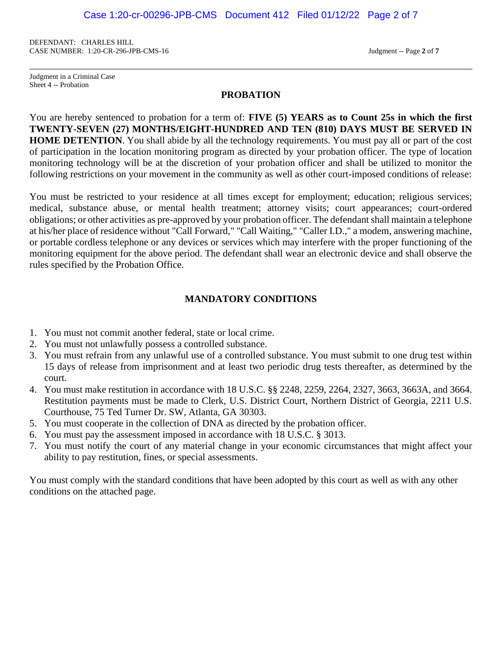DEFENDANT: CHARLES HILL CASE NUMBER: 1:20-CR-296-JPB-CMS-16 Judgment -- Page **2** of **7**

Judgment in a Criminal Case Sheet 4 -- Probation

#### **PROBATION**

You are hereby sentenced to probation for a term of: **FIVE (5) YEARS as to Count 25s in which the first TWENTY-SEVEN (27) MONTHS/EIGHT-HUNDRED AND TEN (810) DAYS MUST BE SERVED IN HOME DETENTION**. You shall abide by all the technology requirements. You must pay all or part of the cost of participation in the location monitoring program as directed by your probation officer. The type of location monitoring technology will be at the discretion of your probation officer and shall be utilized to monitor the following restrictions on your movement in the community as well as other court-imposed conditions of release:

You must be restricted to your residence at all times except for employment; education; religious services; medical, substance abuse, or mental health treatment; attorney visits; court appearances; court-ordered obligations; or other activities as pre-approved by your probation officer. The defendant shall maintain a telephone at his/her place of residence without "Call Forward," "Call Waiting," "Caller I.D.," a modem, answering machine, or portable cordless telephone or any devices or services which may interfere with the proper functioning of the monitoring equipment for the above period. The defendant shall wear an electronic device and shall observe the rules specified by the Probation Office.

## **MANDATORY CONDITIONS**

- 1. You must not commit another federal, state or local crime.
- 2. You must not unlawfully possess a controlled substance.
- 3. You must refrain from any unlawful use of a controlled substance. You must submit to one drug test within 15 days of release from imprisonment and at least two periodic drug tests thereafter, as determined by the court.
- 4. You must make restitution in accordance with 18 U.S.C. §§ 2248, 2259, 2264, 2327, 3663, 3663A, and 3664. Restitution payments must be made to Clerk, U.S. District Court, Northern District of Georgia, 2211 U.S. Courthouse, 75 Ted Turner Dr. SW, Atlanta, GA 30303.
- 5. You must cooperate in the collection of DNA as directed by the probation officer.
- 6. You must pay the assessment imposed in accordance with 18 U.S.C. § 3013.
- 7. You must notify the court of any material change in your economic circumstances that might affect your ability to pay restitution, fines, or special assessments.

You must comply with the standard conditions that have been adopted by this court as well as with any other conditions on the attached page.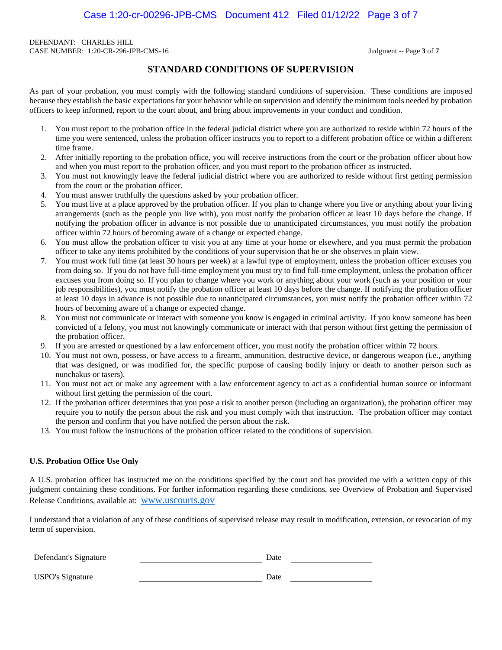DEFENDANT: CHARLES HILL CASE NUMBER: 1:20-CR-296-JPB-CMS-16 Judgment -- Page **3** of **7**

### **STANDARD CONDITIONS OF SUPERVISION**

As part of your probation, you must comply with the following standard conditions of supervision. These conditions are imposed because they establish the basic expectations for your behavior while on supervision and identify the minimum tools needed by probation officers to keep informed, report to the court about, and bring about improvements in your conduct and condition.

- 1. You must report to the probation office in the federal judicial district where you are authorized to reside within 72 hours of the time you were sentenced, unless the probation officer instructs you to report to a different probation office or within a different time frame.
- 2. After initially reporting to the probation office, you will receive instructions from the court or the probation officer about how and when you must report to the probation officer, and you must report to the probation officer as instructed.
- 3. You must not knowingly leave the federal judicial district where you are authorized to reside without first getting permission from the court or the probation officer.
- 4. You must answer truthfully the questions asked by your probation officer.
- 5. You must live at a place approved by the probation officer. If you plan to change where you live or anything about your living arrangements (such as the people you live with), you must notify the probation officer at least 10 days before the change. If notifying the probation officer in advance is not possible due to unanticipated circumstances, you must notify the probation officer within 72 hours of becoming aware of a change or expected change.
- 6. You must allow the probation officer to visit you at any time at your home or elsewhere, and you must permit the probation officer to take any items prohibited by the conditions of your supervision that he or she observes in plain view.
- 7. You must work full time (at least 30 hours per week) at a lawful type of employment, unless the probation officer excuses you from doing so. If you do not have full-time employment you must try to find full-time employment, unless the probation officer excuses you from doing so. If you plan to change where you work or anything about your work (such as your position or your job responsibilities), you must notify the probation officer at least 10 days before the change. If notifying the probation officer at least 10 days in advance is not possible due to unanticipated circumstances, you must notify the probation officer within 72 hours of becoming aware of a change or expected change.
- 8. You must not communicate or interact with someone you know is engaged in criminal activity. If you know someone has been convicted of a felony, you must not knowingly communicate or interact with that person without first getting the permission of the probation officer.
- 9. If you are arrested or questioned by a law enforcement officer, you must notify the probation officer within 72 hours.
- 10. You must not own, possess, or have access to a firearm, ammunition, destructive device, or dangerous weapon (i.e., anything that was designed, or was modified for, the specific purpose of causing bodily injury or death to another person such as nunchakus or tasers).
- 11. You must not act or make any agreement with a law enforcement agency to act as a confidential human source or informant without first getting the permission of the court.
- 12. If the probation officer determines that you pose a risk to another person (including an organization), the probation officer may require you to notify the person about the risk and you must comply with that instruction. The probation officer may contact the person and confirm that you have notified the person about the risk.
- 13. You must follow the instructions of the probation officer related to the conditions of supervision.

#### **U.S. Probation Office Use Only**

A U.S. probation officer has instructed me on the conditions specified by the court and has provided me with a written copy of this judgment containing these conditions. For further information regarding these conditions, see Overview of Probation and Supervised Release Conditions, available at: www.uscourts.gov

I understand that a violation of any of these conditions of supervised release may result in modification, extension, or revocation of my term of supervision.

| Defendant's Signature   | Date |  |
|-------------------------|------|--|
| <b>USPO's Signature</b> | Date |  |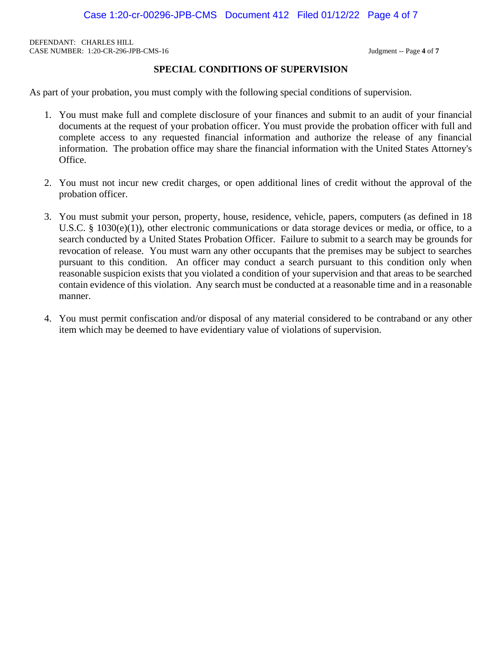DEFENDANT: CHARLES HILL CASE NUMBER: 1:20-CR-296-JPB-CMS-16 Judgment -- Page **4** of **7**

## **SPECIAL CONDITIONS OF SUPERVISION**

As part of your probation, you must comply with the following special conditions of supervision.

- 1. You must make full and complete disclosure of your finances and submit to an audit of your financial documents at the request of your probation officer. You must provide the probation officer with full and complete access to any requested financial information and authorize the release of any financial information. The probation office may share the financial information with the United States Attorney's Office.
- 2. You must not incur new credit charges, or open additional lines of credit without the approval of the probation officer.
- 3. You must submit your person, property, house, residence, vehicle, papers, computers (as defined in 18 U.S.C. § 1030(e)(1)), other electronic communications or data storage devices or media, or office, to a search conducted by a United States Probation Officer. Failure to submit to a search may be grounds for revocation of release. You must warn any other occupants that the premises may be subject to searches pursuant to this condition. An officer may conduct a search pursuant to this condition only when reasonable suspicion exists that you violated a condition of your supervision and that areas to be searched contain evidence of this violation. Any search must be conducted at a reasonable time and in a reasonable manner.
- 4. You must permit confiscation and/or disposal of any material considered to be contraband or any other item which may be deemed to have evidentiary value of violations of supervision.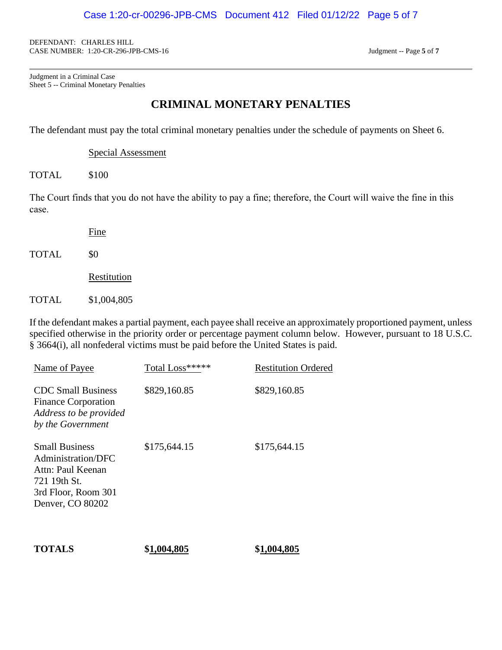DEFENDANT: CHARLES HILL CASE NUMBER: 1:20-CR-296-JPB-CMS-16 Judgment -- Page **5** of **7**

Judgment in a Criminal Case Sheet 5 -- Criminal Monetary Penalties

## **CRIMINAL MONETARY PENALTIES**

The defendant must pay the total criminal monetary penalties under the schedule of payments on Sheet 6.

Special Assessment

TOTAL \$100

The Court finds that you do not have the ability to pay a fine; therefore, the Court will waive the fine in this case.

Fine

TOTAL \$0

Restitution

TOTAL \$1,004,805

If the defendant makes a partial payment, each payee shall receive an approximately proportioned payment, unless specified otherwise in the priority order or percentage payment column below. However, pursuant to 18 U.S.C. § 3664(i), all nonfederal victims must be paid before the United States is paid.

| Name of Payee                                                                                                               | Total Loss***** | <b>Restitution Ordered</b> |
|-----------------------------------------------------------------------------------------------------------------------------|-----------------|----------------------------|
| <b>CDC</b> Small Business<br><b>Finance Corporation</b><br>Address to be provided<br>by the Government                      | \$829,160.85    | \$829,160.85               |
| <b>Small Business</b><br>Administration/DFC<br>Attn: Paul Keenan<br>721 19th St.<br>3rd Floor, Room 301<br>Denver, CO 80202 | \$175,644.15    | \$175,644.15               |
| <b>TOTALS</b>                                                                                                               | \$1,004,805     | \$1,004.805                |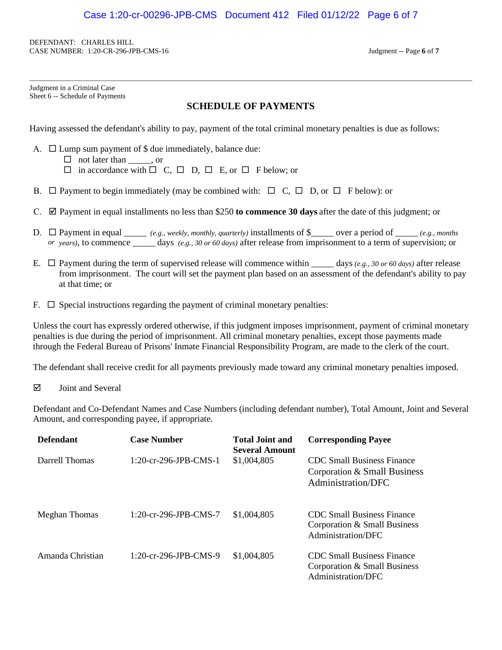DEFENDANT: CHARLES HILL CASE NUMBER: 1:20-CR-296-JPB-CMS-16 Judgment -- Page **6** of **7**

| Judgment in a Criminal Case     |  |
|---------------------------------|--|
| Sheet 6 -- Schedule of Payments |  |

## **SCHEDULE OF PAYMENTS**

Having assessed the defendant's ability to pay, payment of the total criminal monetary penalties is due as follows:

A.  $\Box$  Lump sum payment of \$ due immediately, balance due:

 $\Box$  not later than , or

 $\Box$  in accordance with  $\Box$  C,  $\Box$  D,  $\Box$  E, or  $\Box$  F below; or

- B.  $\Box$  Payment to begin immediately (may be combined with:  $\Box$  C,  $\Box$  D, or  $\Box$  F below): or
- C.  $\boxtimes$  Payment in equal installments no less than \$250 **to commence 30 days** after the date of this judgment; or
- D. □ Payment in equal <u>\_\_\_\_</u> *(e.g., weekly, monthly, quarterly)* installments of \$\_\_\_\_\_ over a period of \_\_\_\_ *(e.g., months or years)*, to commence \_\_\_\_\_ days *(e.g., 30 or 60 days)* after release from imprisonment to a term of supervision; or
- E.  $\Box$  Payment during the term of supervised release will commence within  $\Box$  days *(e.g., 30 or 60 days)* after release from imprisonment. The court will set the payment plan based on an assessment of the defendant's ability to pay at that time; or
- $F. \Box$  Special instructions regarding the payment of criminal monetary penalties:

Unless the court has expressly ordered otherwise, if this judgment imposes imprisonment, payment of criminal monetary penalties is due during the period of imprisonment. All criminal monetary penalties, except those payments made through the Federal Bureau of Prisons' Inmate Financial Responsibility Program, are made to the clerk of the court.

The defendant shall receive credit for all payments previously made toward any criminal monetary penalties imposed.

 $\boxtimes$  Joint and Several

Defendant and Co-Defendant Names and Case Numbers (including defendant number), Total Amount, Joint and Several Amount, and corresponding payee, if appropriate.

| <b>Defendant</b> | <b>Case Number</b>       | <b>Total Joint and</b><br><b>Several Amount</b> | <b>Corresponding Payee</b>                                                              |
|------------------|--------------------------|-------------------------------------------------|-----------------------------------------------------------------------------------------|
| Darrell Thomas   | $1:20$ -cr-296-JPB-CMS-1 | \$1,004,805                                     | <b>CDC</b> Small Business Finance<br>Corporation & Small Business<br>Administration/DFC |
| Meghan Thomas    | $1:20$ -cr-296-JPB-CMS-7 | \$1,004,805                                     | <b>CDC</b> Small Business Finance<br>Corporation & Small Business<br>Administration/DFC |
| Amanda Christian | $1:20$ -cr-296-JPB-CMS-9 | \$1,004,805                                     | <b>CDC</b> Small Business Finance<br>Corporation & Small Business<br>Administration/DFC |